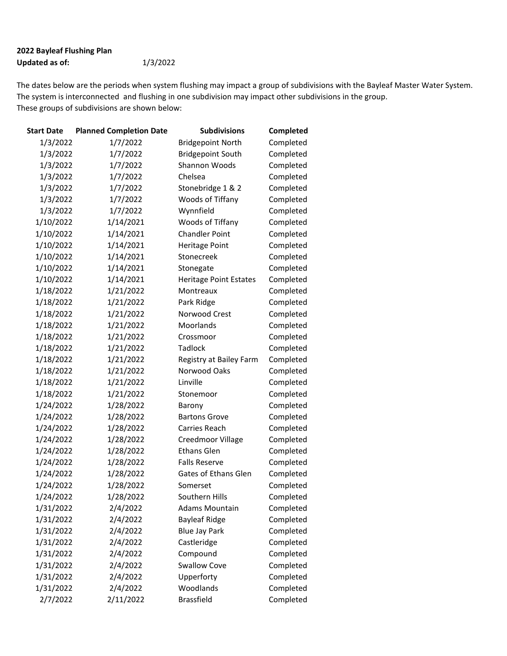## 2022 Bayleaf Flushing Plan Updated as of: 1/3/2022

The dates below are the periods when system flushing may impact a group of subdivisions with the Bayleaf Master Water System. The system is interconnected and flushing in one subdivision may impact other subdivisions in the group. These groups of subdivisions are shown below:

| Start Date | <b>Planned Completion Date</b> | <b>Subdivisions</b>           | Completed |
|------------|--------------------------------|-------------------------------|-----------|
| 1/3/2022   | 1/7/2022                       | <b>Bridgepoint North</b>      | Completed |
| 1/3/2022   | 1/7/2022                       | <b>Bridgepoint South</b>      | Completed |
| 1/3/2022   | 1/7/2022                       | Shannon Woods                 | Completed |
| 1/3/2022   | 1/7/2022                       | Chelsea                       | Completed |
| 1/3/2022   | 1/7/2022                       | Stonebridge 1 & 2             | Completed |
| 1/3/2022   | 1/7/2022                       | Woods of Tiffany              | Completed |
| 1/3/2022   | 1/7/2022                       | Wynnfield                     | Completed |
| 1/10/2022  | 1/14/2021                      | Woods of Tiffany              | Completed |
| 1/10/2022  | 1/14/2021                      | <b>Chandler Point</b>         | Completed |
| 1/10/2022  | 1/14/2021                      | <b>Heritage Point</b>         | Completed |
| 1/10/2022  | 1/14/2021                      | Stonecreek                    | Completed |
| 1/10/2022  | 1/14/2021                      | Stonegate                     | Completed |
| 1/10/2022  | 1/14/2021                      | <b>Heritage Point Estates</b> | Completed |
| 1/18/2022  | 1/21/2022                      | Montreaux                     | Completed |
| 1/18/2022  | 1/21/2022                      | Park Ridge                    | Completed |
| 1/18/2022  | 1/21/2022                      | Norwood Crest                 | Completed |
| 1/18/2022  | 1/21/2022                      | Moorlands                     | Completed |
| 1/18/2022  | 1/21/2022                      | Crossmoor                     | Completed |
| 1/18/2022  | 1/21/2022                      | Tadlock                       | Completed |
| 1/18/2022  | 1/21/2022                      | Registry at Bailey Farm       | Completed |
| 1/18/2022  | 1/21/2022                      | Norwood Oaks                  | Completed |
| 1/18/2022  | 1/21/2022                      | Linville                      | Completed |
| 1/18/2022  | 1/21/2022                      | Stonemoor                     | Completed |
| 1/24/2022  | 1/28/2022                      | Barony                        | Completed |
| 1/24/2022  | 1/28/2022                      | <b>Bartons Grove</b>          | Completed |
| 1/24/2022  | 1/28/2022                      | Carries Reach                 | Completed |
| 1/24/2022  | 1/28/2022                      | Creedmoor Village             | Completed |
| 1/24/2022  | 1/28/2022                      | <b>Ethans Glen</b>            | Completed |
| 1/24/2022  | 1/28/2022                      | <b>Falls Reserve</b>          | Completed |
| 1/24/2022  | 1/28/2022                      | Gates of Ethans Glen          | Completed |
| 1/24/2022  | 1/28/2022                      | Somerset                      | Completed |
| 1/24/2022  | 1/28/2022                      | Southern Hills                | Completed |
| 1/31/2022  | 2/4/2022                       | <b>Adams Mountain</b>         | Completed |
| 1/31/2022  | 2/4/2022                       | <b>Bayleaf Ridge</b>          | Completed |
| 1/31/2022  | 2/4/2022                       | <b>Blue Jay Park</b>          | Completed |
| 1/31/2022  | 2/4/2022                       | Castleridge                   | Completed |
| 1/31/2022  | 2/4/2022                       | Compound                      | Completed |
| 1/31/2022  | 2/4/2022                       | <b>Swallow Cove</b>           | Completed |
| 1/31/2022  | 2/4/2022                       | Upperforty                    | Completed |
| 1/31/2022  | 2/4/2022                       | Woodlands                     | Completed |
| 2/7/2022   | 2/11/2022                      | <b>Brassfield</b>             | Completed |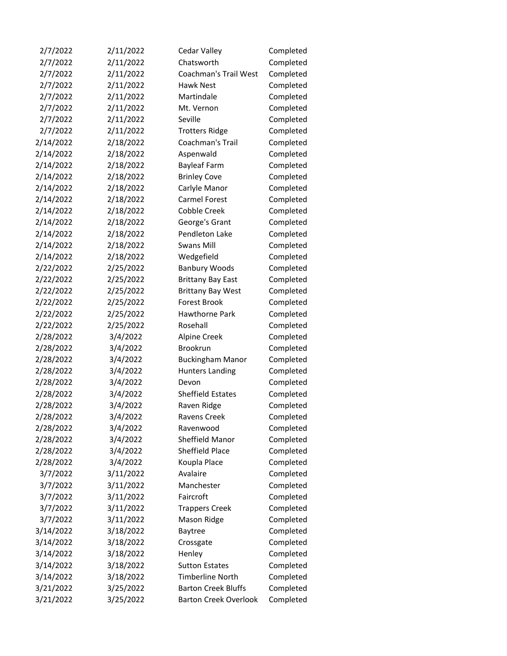| 2/7/2022  | 2/11/2022 | Cedar Valley                 | Completed |
|-----------|-----------|------------------------------|-----------|
| 2/7/2022  | 2/11/2022 | Chatsworth                   | Completed |
| 2/7/2022  | 2/11/2022 | <b>Coachman's Trail West</b> | Completed |
| 2/7/2022  | 2/11/2022 | <b>Hawk Nest</b>             | Completed |
| 2/7/2022  | 2/11/2022 | Martindale                   | Completed |
| 2/7/2022  | 2/11/2022 | Mt. Vernon                   | Completed |
| 2/7/2022  | 2/11/2022 | Seville                      | Completed |
| 2/7/2022  | 2/11/2022 | <b>Trotters Ridge</b>        | Completed |
| 2/14/2022 | 2/18/2022 | Coachman's Trail             | Completed |
| 2/14/2022 | 2/18/2022 | Aspenwald                    | Completed |
| 2/14/2022 | 2/18/2022 | <b>Bayleaf Farm</b>          | Completed |
| 2/14/2022 | 2/18/2022 | <b>Brinley Cove</b>          | Completed |
| 2/14/2022 | 2/18/2022 | Carlyle Manor                | Completed |
| 2/14/2022 | 2/18/2022 | Carmel Forest                | Completed |
| 2/14/2022 | 2/18/2022 | <b>Cobble Creek</b>          | Completed |
| 2/14/2022 | 2/18/2022 | George's Grant               | Completed |
| 2/14/2022 | 2/18/2022 | Pendleton Lake               | Completed |
| 2/14/2022 | 2/18/2022 | <b>Swans Mill</b>            | Completed |
| 2/14/2022 | 2/18/2022 | Wedgefield                   | Completed |
| 2/22/2022 | 2/25/2022 | <b>Banbury Woods</b>         | Completed |
| 2/22/2022 | 2/25/2022 | <b>Brittany Bay East</b>     | Completed |
| 2/22/2022 | 2/25/2022 | <b>Brittany Bay West</b>     | Completed |
| 2/22/2022 | 2/25/2022 | <b>Forest Brook</b>          | Completed |
| 2/22/2022 | 2/25/2022 | Hawthorne Park               | Completed |
| 2/22/2022 | 2/25/2022 | Rosehall                     | Completed |
| 2/28/2022 | 3/4/2022  | Alpine Creek                 | Completed |
| 2/28/2022 | 3/4/2022  | Brookrun                     | Completed |
| 2/28/2022 | 3/4/2022  | <b>Buckingham Manor</b>      | Completed |
| 2/28/2022 | 3/4/2022  | <b>Hunters Landing</b>       | Completed |
| 2/28/2022 | 3/4/2022  | Devon                        | Completed |
| 2/28/2022 | 3/4/2022  | Sheffield Estates            | Completed |
| 2/28/2022 | 3/4/2022  | Raven Ridge                  | Completed |
| 2/28/2022 | 3/4/2022  | Ravens Creek                 | Completed |
| 2/28/2022 | 3/4/2022  | Ravenwood                    | Completed |
| 2/28/2022 | 3/4/2022  | Sheffield Manor              | Completed |
| 2/28/2022 | 3/4/2022  | Sheffield Place              | Completed |
| 2/28/2022 | 3/4/2022  | Koupla Place                 | Completed |
| 3/7/2022  | 3/11/2022 | Avalaire                     | Completed |
| 3/7/2022  | 3/11/2022 | Manchester                   | Completed |
| 3/7/2022  | 3/11/2022 | Faircroft                    | Completed |
| 3/7/2022  | 3/11/2022 | <b>Trappers Creek</b>        | Completed |
| 3/7/2022  | 3/11/2022 | Mason Ridge                  | Completed |
| 3/14/2022 | 3/18/2022 | <b>Baytree</b>               | Completed |
| 3/14/2022 | 3/18/2022 | Crossgate                    | Completed |
| 3/14/2022 | 3/18/2022 | Henley                       | Completed |
| 3/14/2022 | 3/18/2022 | <b>Sutton Estates</b>        | Completed |
| 3/14/2022 | 3/18/2022 | <b>Timberline North</b>      | Completed |
| 3/21/2022 | 3/25/2022 | <b>Barton Creek Bluffs</b>   | Completed |
| 3/21/2022 | 3/25/2022 | <b>Barton Creek Overlook</b> | Completed |